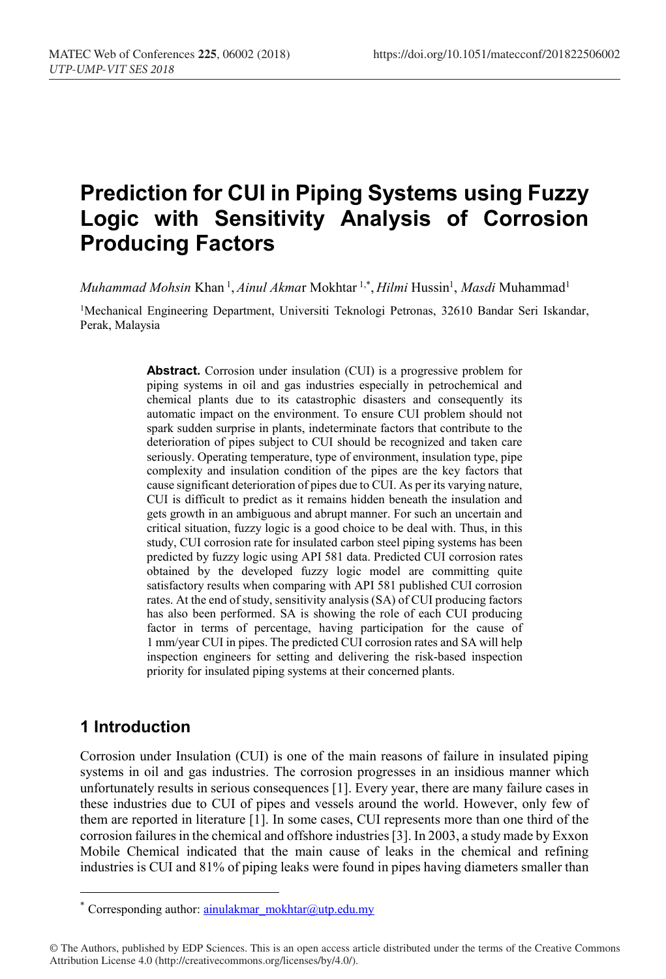# **Prediction for CUI in Piping Systems using Fuzzy Logic with Sensitivity Analysis of Corrosion Producing Factors**

*Muhammad Mohsin* Khan <sup>1</sup>, *Ainul Akma*r Mokhtar <sup>1,\*</sup>, *Hilmi* Hussin<sup>1</sup>, *Masdi* Muhammad<sup>1</sup>

1Mechanical Engineering Department, Universiti Teknologi Petronas, 32610 Bandar Seri Iskandar, Perak, Malaysia

> **Abstract.** Corrosion under insulation (CUI) is a progressive problem for piping systems in oil and gas industries especially in petrochemical and chemical plants due to its catastrophic disasters and consequently its automatic impact on the environment. To ensure CUI problem should not spark sudden surprise in plants, indeterminate factors that contribute to the deterioration of pipes subject to CUI should be recognized and taken care seriously. Operating temperature, type of environment, insulation type, pipe complexity and insulation condition of the pipes are the key factors that cause significant deterioration of pipes due to CUI. As per its varying nature, CUI is difficult to predict as it remains hidden beneath the insulation and gets growth in an ambiguous and abrupt manner. For such an uncertain and critical situation, fuzzy logic is a good choice to be deal with. Thus, in this study, CUI corrosion rate for insulated carbon steel piping systems has been predicted by fuzzy logic using API 581 data. Predicted CUI corrosion rates obtained by the developed fuzzy logic model are committing quite satisfactory results when comparing with API 581 published CUI corrosion rates. At the end of study, sensitivity analysis (SA) of CUI producing factors has also been performed. SA is showing the role of each CUI producing factor in terms of percentage, having participation for the cause of 1 mm/year CUI in pipes. The predicted CUI corrosion rates and SA will help inspection engineers for setting and delivering the risk-based inspection priority for insulated piping systems at their concerned plants.

### **1 Introduction**

Corrosion under Insulation (CUI) is one of the main reasons of failure in insulated piping systems in oil and gas industries. The corrosion progresses in an insidious manner which unfortunately results in serious consequences [1]. Every year, there are many failure cases in these industries due to CUI of pipes and vessels around the world. However, only few of them are reported in literature [1]. In some cases, CUI represents more than one third of the corrosion failures in the chemical and offshore industries [3]. In 2003, a study made by Exxon Mobile Chemical indicated that the main cause of leaks in the chemical and refining industries is CUI and 81% of piping leaks were found in pipes having diameters smaller than

<sup>\*</sup> Corresponding author: ainulakmar\_mokhtar@utp.edu.my

<sup>©</sup> The Authors, published by EDP Sciences. This is an open access article distributed under the terms of the Creative Commons Attribution License 4.0 (http://creativecommons.org/licenses/by/4.0/).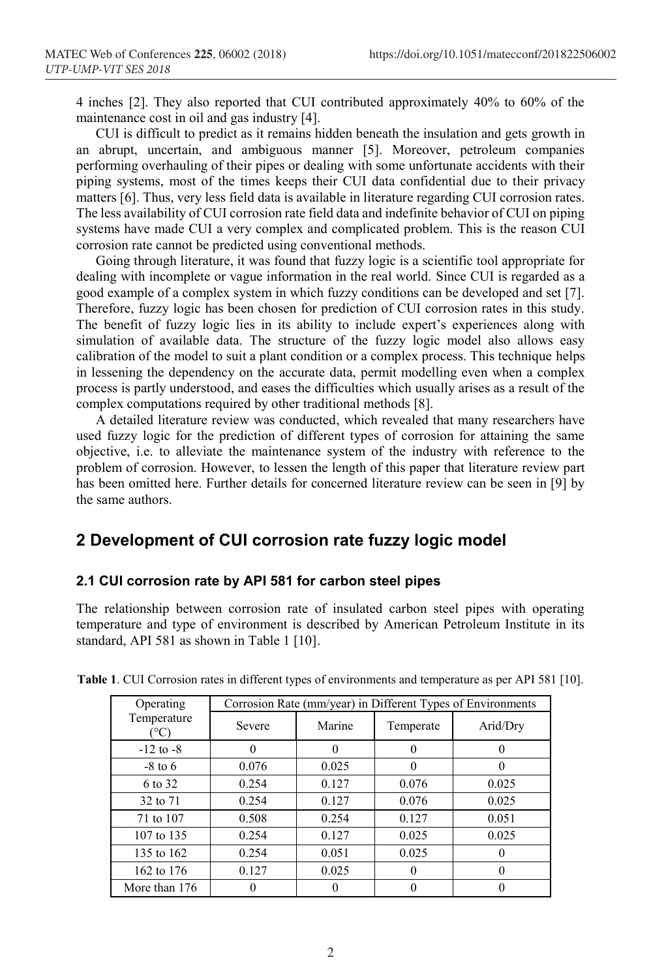4 inches [2]. They also reported that CUI contributed approximately 40% to 60% of the maintenance cost in oil and gas industry [4].

CUI is difficult to predict as it remains hidden beneath the insulation and gets growth in an abrupt, uncertain, and ambiguous manner [5]. Moreover, petroleum companies performing overhauling of their pipes or dealing with some unfortunate accidents with their piping systems, most of the times keeps their CUI data confidential due to their privacy matters [6]. Thus, very less field data is available in literature regarding CUI corrosion rates. The less availability of CUI corrosion rate field data and indefinite behavior of CUI on piping systems have made CUI a very complex and complicated problem. This is the reason CUI corrosion rate cannot be predicted using conventional methods.

Going through literature, it was found that fuzzy logic is a scientific tool appropriate for dealing with incomplete or vague information in the real world. Since CUI is regarded as a good example of a complex system in which fuzzy conditions can be developed and set [7]. Therefore, fuzzy logic has been chosen for prediction of CUI corrosion rates in this study. The benefit of fuzzy logic lies in its ability to include expert's experiences along with simulation of available data. The structure of the fuzzy logic model also allows easy calibration of the model to suit a plant condition or a complex process. This technique helps in lessening the dependency on the accurate data, permit modelling even when a complex process is partly understood, and eases the difficulties which usually arises as a result of the complex computations required by other traditional methods [8].

A detailed literature review was conducted, which revealed that many researchers have used fuzzy logic for the prediction of different types of corrosion for attaining the same objective, i.e. to alleviate the maintenance system of the industry with reference to the problem of corrosion. However, to lessen the length of this paper that literature review part has been omitted here. Further details for concerned literature review can be seen in [9] by the same authors.

## **2 Development of CUI corrosion rate fuzzy logic model**

### **2.1 CUI corrosion rate by API 581 for carbon steel pipes**

The relationship between corrosion rate of insulated carbon steel pipes with operating temperature and type of environment is described by American Petroleum Institute in its standard, API 581 as shown in Table 1 [10].

| Operating           | Corrosion Rate (mm/year) in Different Types of Environments |        |           |          |  |
|---------------------|-------------------------------------------------------------|--------|-----------|----------|--|
| Temperature<br>(°C) | Severe                                                      | Marine | Temperate | Arid/Dry |  |
| $-12$ to $-8$       |                                                             |        |           |          |  |
| $-8$ to 6           | 0.076                                                       | 0.025  |           |          |  |
| 6 to 32             | 0.254                                                       | 0.127  | 0.076     | 0.025    |  |
| 32 to 71            | 0.254                                                       | 0.127  | 0.076     | 0.025    |  |
| 71 to 107           | 0.508                                                       | 0.254  | 0.127     | 0.051    |  |
| 107 to 135          | 0.254                                                       | 0.127  | 0.025     | 0.025    |  |
| 135 to 162          | 0.254                                                       | 0.051  | 0.025     |          |  |
| 162 to 176          | 0.127                                                       | 0.025  |           | 0        |  |
| More than 176       |                                                             |        |           |          |  |

**Table 1**. CUI Corrosion rates in different types of environments and temperature as per API 581 [10].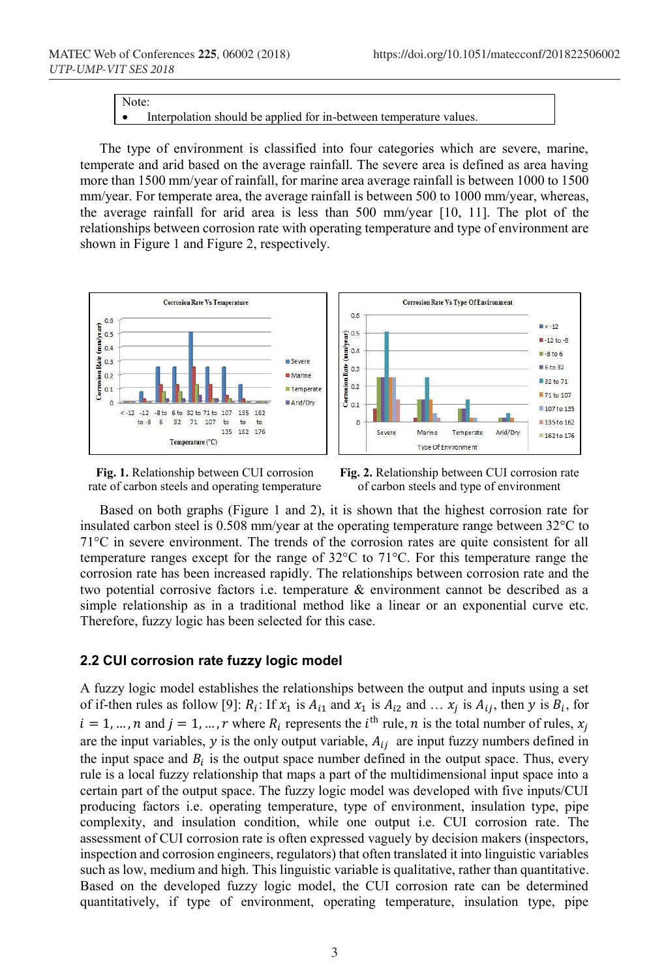Note:

Interpolation should be applied for in-between temperature values.

The type of environment is classified into four categories which are severe, marine, temperate and arid based on the average rainfall. The severe area is defined as area having more than 1500 mm/year of rainfall, for marine area average rainfall is between 1000 to 1500 mm/year. For temperate area, the average rainfall is between 500 to 1000 mm/year, whereas, the average rainfall for arid area is less than 500 mm/year [10, 11]. The plot of the relationships between corrosion rate with operating temperature and type of environment are shown in Figure 1 and Figure 2, respectively.



**Fig. 1.** Relationship between CUI corrosion rate of carbon steels and operating temperature



**Fig. 2.** Relationship between CUI corrosion rate of carbon steels and type of environment

Based on both graphs (Figure 1 and 2), it is shown that the highest corrosion rate for insulated carbon steel is 0.508 mm/year at the operating temperature range between 32°C to 71°C in severe environment. The trends of the corrosion rates are quite consistent for all temperature ranges except for the range of 32°C to 71°C. For this temperature range the corrosion rate has been increased rapidly. The relationships between corrosion rate and the two potential corrosive factors i.e. temperature & environment cannot be described as a simple relationship as in a traditional method like a linear or an exponential curve etc. Therefore, fuzzy logic has been selected for this case.

### **2.2 CUI corrosion rate fuzzy logic model**

A fuzzy logic model establishes the relationships between the output and inputs using a set of if-then rules as follow [9]:  $R_i$ : If  $x_1$  is  $A_{i1}$  and  $x_1$  is  $A_{i2}$  and  $\ldots$   $x_j$  is  $A_{ij}$ , then  $y$  is  $B_i$ , for  $i = 1, ..., n$  and  $j = 1, ..., r$  where  $R_i$  represents the  $i<sup>th</sup>$  rule, n is the total number of rules,  $x_i$ are the input variables,  $y$  is the only output variable,  $A_{ij}$  are input fuzzy numbers defined in the input space and  $B_i$  is the output space number defined in the output space. Thus, every rule is a local fuzzy relationship that maps a part of the multidimensional input space into a certain part of the output space. The fuzzy logic model was developed with five inputs/CUI producing factors i.e. operating temperature, type of environment, insulation type, pipe complexity, and insulation condition, while one output i.e. CUI corrosion rate. The assessment of CUI corrosion rate is often expressed vaguely by decision makers (inspectors, inspection and corrosion engineers, regulators) that often translated it into linguistic variables such as low, medium and high. This linguistic variable is qualitative, rather than quantitative. Based on the developed fuzzy logic model, the CUI corrosion rate can be determined quantitatively, if type of environment, operating temperature, insulation type, pipe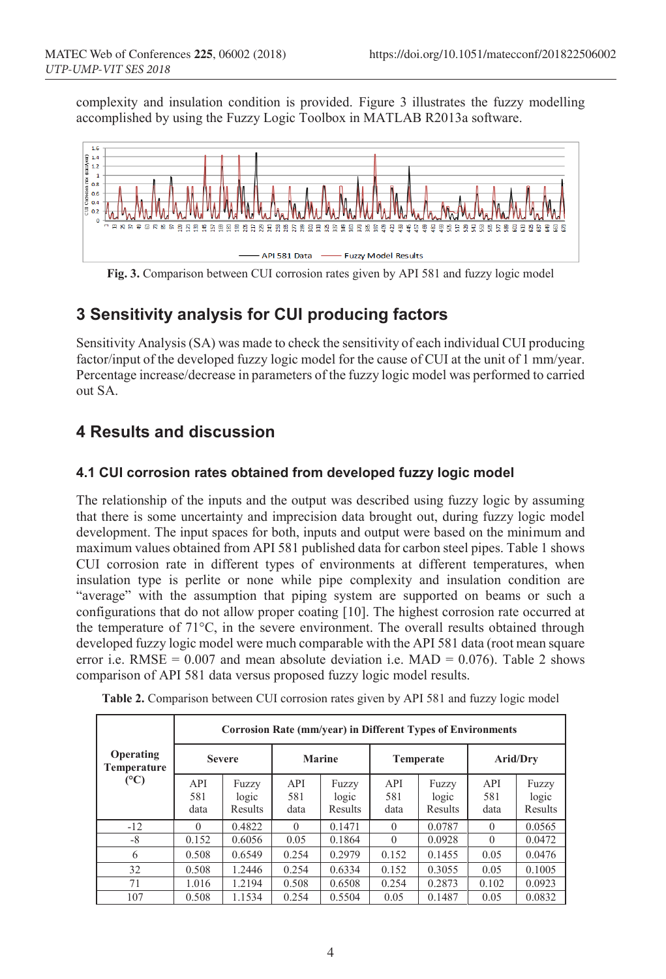complexity and insulation condition is provided. Figure 3 illustrates the fuzzy modelling accomplished by using the Fuzzy Logic Toolbox in MATLAB R2013a software.



**Fig. 3.** Comparison between CUI corrosion rates given by API 581 and fuzzy logic model

## **3 Sensitivity analysis for CUI producing factors**

Sensitivity Analysis (SA) was made to check the sensitivity of each individual CUI producing factor/input of the developed fuzzy logic model for the cause of CUI at the unit of 1 mm/year. Percentage increase/decrease in parameters of the fuzzy logic model was performed to carried out SA.

## **4 Results and discussion**

### **4.1 CUI corrosion rates obtained from developed fuzzy logic model**

The relationship of the inputs and the output was described using fuzzy logic by assuming that there is some uncertainty and imprecision data brought out, during fuzzy logic model development. The input spaces for both, inputs and output were based on the minimum and maximum values obtained from API 581 published data for carbon steel pipes. Table 1 shows CUI corrosion rate in different types of environments at different temperatures, when insulation type is perlite or none while pipe complexity and insulation condition are "average" with the assumption that piping system are supported on beams or such a configurations that do not allow proper coating [10]. The highest corrosion rate occurred at the temperature of 71°C, in the severe environment. The overall results obtained through developed fuzzy logic model were much comparable with the API 581 data (root mean square error i.e. RMSE =  $0.007$  and mean absolute deviation i.e. MAD =  $0.076$ ). Table 2 shows comparison of API 581 data versus proposed fuzzy logic model results.

|                                        | Corrosion Rate (mm/year) in Different Types of Environments |                           |                    |                           |                    |                           |                    |                           |
|----------------------------------------|-------------------------------------------------------------|---------------------------|--------------------|---------------------------|--------------------|---------------------------|--------------------|---------------------------|
| <b>Operating</b><br>Temperature<br>(C) | <b>Severe</b>                                               |                           | <b>Marine</b>      |                           | <b>Temperate</b>   |                           | Arid/Drv           |                           |
|                                        | API<br>581<br>data                                          | Fuzzy<br>logic<br>Results | API<br>581<br>data | Fuzzy<br>logic<br>Results | API<br>581<br>data | Fuzzy<br>logic<br>Results | API<br>581<br>data | Fuzzy<br>logic<br>Results |
| $-12$                                  | $\Omega$                                                    | 0.4822                    | $\Omega$           | 0.1471                    | $\Omega$           | 0.0787                    | $\Omega$           | 0.0565                    |
| -8                                     | 0.152                                                       | 0.6056                    | 0.05               | 0.1864                    | $\Omega$           | 0.0928                    | $\Omega$           | 0.0472                    |
| 6                                      | 0.508                                                       | 0.6549                    | 0.254              | 0.2979                    | 0.152              | 0.1455                    | 0.05               | 0.0476                    |
| 32                                     | 0.508                                                       | 1.2446                    | 0.254              | 0.6334                    | 0.152              | 0.3055                    | 0.05               | 0.1005                    |
| 71                                     | 1.016                                                       | 1.2194                    | 0.508              | 0.6508                    | 0.254              | 0.2873                    | 0.102              | 0.0923                    |
| 107                                    | 0.508                                                       | 1.1534                    | 0.254              | 0.5504                    | 0.05               | 0.1487                    | 0.05               | 0.0832                    |

**Table 2.** Comparison between CUI corrosion rates given by API 581 and fuzzy logic model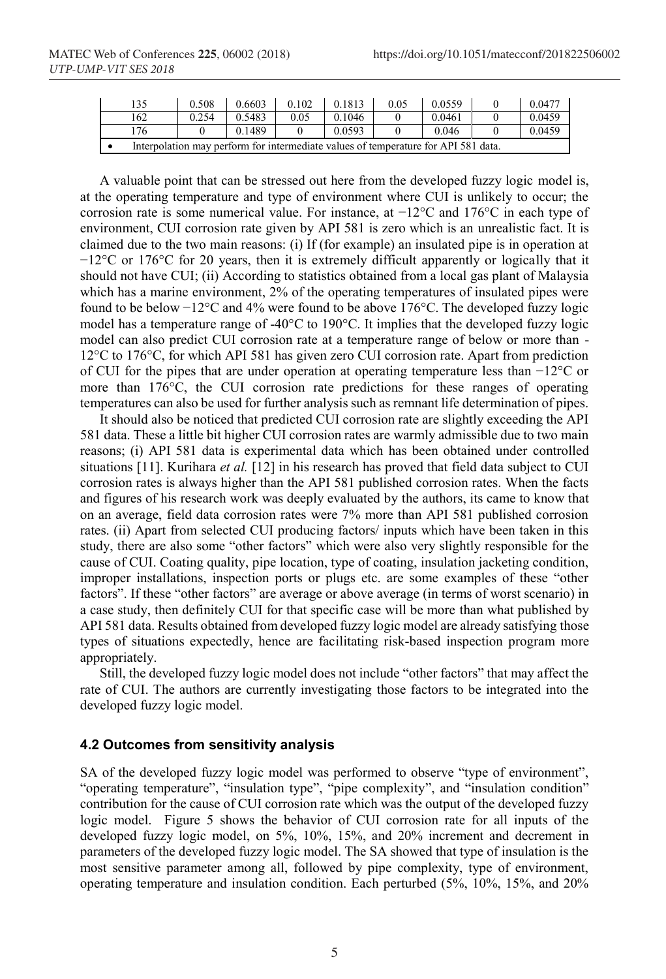| 135                                                                                       | 0.508 | 0.6603 | 0.102 | 0.1813 | 0.05 | 0.0559 | 0.0477 |
|-------------------------------------------------------------------------------------------|-------|--------|-------|--------|------|--------|--------|
| 162                                                                                       | 0.254 | 0.5483 | 0.05  | 0.1046 |      | 0.0461 | 0.0459 |
| 76                                                                                        |       | 0.1489 |       | 0.0593 |      | 0.046  | 0.0459 |
| Interpolation may perform for intermediate values of temperature for API 581 data.<br>. . |       |        |       |        |      |        |        |

A valuable point that can be stressed out here from the developed fuzzy logic model is, at the operating temperature and type of environment where CUI is unlikely to occur; the corrosion rate is some numerical value. For instance, at −12°C and 176°C in each type of environment, CUI corrosion rate given by API 581 is zero which is an unrealistic fact. It is claimed due to the two main reasons: (i) If (for example) an insulated pipe is in operation at −12°C or 176°C for 20 years, then it is extremely difficult apparently or logically that it should not have CUI; (ii) According to statistics obtained from a local gas plant of Malaysia which has a marine environment, 2% of the operating temperatures of insulated pipes were found to be below −12°C and 4% were found to be above 176°C. The developed fuzzy logic model has a temperature range of -40°C to 190°C. It implies that the developed fuzzy logic model can also predict CUI corrosion rate at a temperature range of below or more than - 12°C to 176°C, for which API 581 has given zero CUI corrosion rate. Apart from prediction of CUI for the pipes that are under operation at operating temperature less than −12°C or more than 176°C, the CUI corrosion rate predictions for these ranges of operating temperatures can also be used for further analysis such as remnant life determination of pipes.

It should also be noticed that predicted CUI corrosion rate are slightly exceeding the API 581 data. These a little bit higher CUI corrosion rates are warmly admissible due to two main reasons; (i) API 581 data is experimental data which has been obtained under controlled situations [11]. Kurihara *et al.* [12] in his research has proved that field data subject to CUI corrosion rates is always higher than the API 581 published corrosion rates. When the facts and figures of his research work was deeply evaluated by the authors, its came to know that on an average, field data corrosion rates were 7% more than API 581 published corrosion rates. (ii) Apart from selected CUI producing factors/ inputs which have been taken in this study, there are also some "other factors" which were also very slightly responsible for the cause of CUI. Coating quality, pipe location, type of coating, insulation jacketing condition, improper installations, inspection ports or plugs etc. are some examples of these "other factors". If these "other factors" are average or above average (in terms of worst scenario) in a case study, then definitely CUI for that specific case will be more than what published by API 581 data. Results obtained from developed fuzzy logic model are already satisfying those types of situations expectedly, hence are facilitating risk-based inspection program more appropriately.

Still, the developed fuzzy logic model does not include "other factors" that may affect the rate of CUI. The authors are currently investigating those factors to be integrated into the developed fuzzy logic model.

#### **4.2 Outcomes from sensitivity analysis**

SA of the developed fuzzy logic model was performed to observe "type of environment", "operating temperature", "insulation type", "pipe complexity", and "insulation condition" contribution for the cause of CUI corrosion rate which was the output of the developed fuzzy logic model. Figure 5 shows the behavior of CUI corrosion rate for all inputs of the developed fuzzy logic model, on 5%, 10%, 15%, and 20% increment and decrement in parameters of the developed fuzzy logic model. The SA showed that type of insulation is the most sensitive parameter among all, followed by pipe complexity, type of environment, operating temperature and insulation condition. Each perturbed (5%, 10%, 15%, and 20%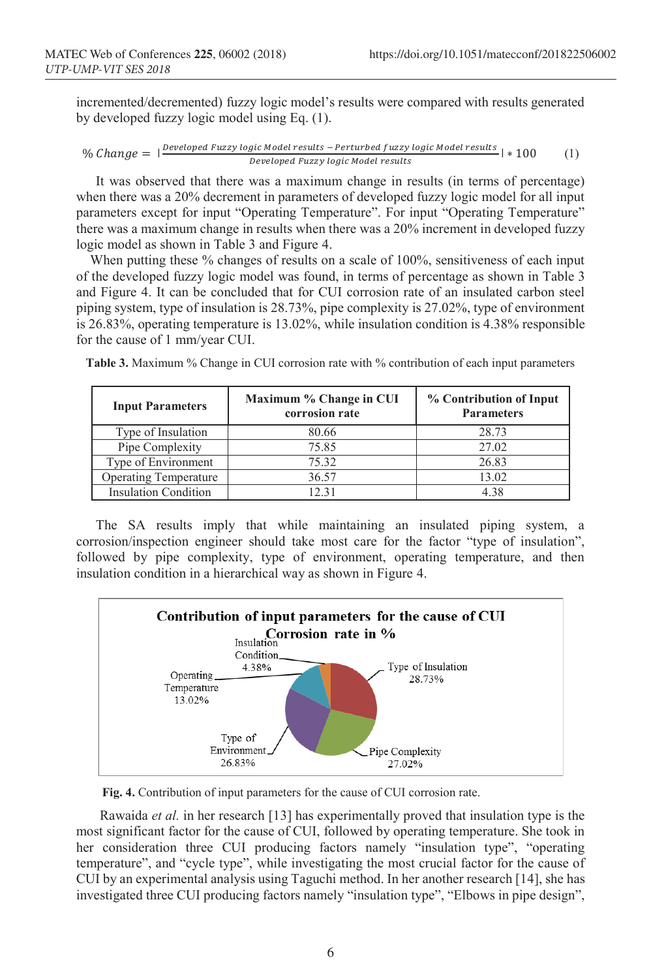incremented/decremented) fuzzy logic model's results were compared with results generated by developed fuzzy logic model using Eq. (1).

$$
\% Change = | \frac{Developed Fuzzy logic Model results - Perturbed fuzzy logic Model results}{Developed Fuzzy logic Model results} | * 100
$$
 (1)

It was observed that there was a maximum change in results (in terms of percentage) when there was a 20% decrement in parameters of developed fuzzy logic model for all input parameters except for input "Operating Temperature". For input "Operating Temperature" there was a maximum change in results when there was a 20% increment in developed fuzzy logic model as shown in Table 3 and Figure 4.

When putting these % changes of results on a scale of 100%, sensitiveness of each input of the developed fuzzy logic model was found, in terms of percentage as shown in Table 3 and Figure 4. It can be concluded that for CUI corrosion rate of an insulated carbon steel piping system, type of insulation is 28.73%, pipe complexity is 27.02%, type of environment is 26.83%, operating temperature is 13.02%, while insulation condition is 4.38% responsible for the cause of 1 mm/year CUI.

| <b>Input Parameters</b>      | Maximum % Change in CUI<br>corrosion rate | % Contribution of Input<br><b>Parameters</b> |  |  |
|------------------------------|-------------------------------------------|----------------------------------------------|--|--|
| Type of Insulation           | 80.66                                     | 28.73                                        |  |  |
| Pipe Complexity              | 75.85                                     | 27.02                                        |  |  |
| Type of Environment          | 75.32                                     | 26.83                                        |  |  |
| <b>Operating Temperature</b> | 36.57                                     | 13.02                                        |  |  |
| <b>Insulation Condition</b>  | 12.31                                     | 4 38                                         |  |  |

**Table 3.** Maximum % Change in CUI corrosion rate with % contribution of each input parameters

The SA results imply that while maintaining an insulated piping system, a corrosion/inspection engineer should take most care for the factor "type of insulation", followed by pipe complexity, type of environment, operating temperature, and then insulation condition in a hierarchical way as shown in Figure 4.



**Fig. 4.** Contribution of input parameters for the cause of CUI corrosion rate.

Rawaida *et al.* in her research [13] has experimentally proved that insulation type is the most significant factor for the cause of CUI, followed by operating temperature. She took in her consideration three CUI producing factors namely "insulation type", "operating temperature", and "cycle type", while investigating the most crucial factor for the cause of CUI by an experimental analysis using Taguchi method. In her another research [14], she has investigated three CUI producing factors namely "insulation type", "Elbows in pipe design",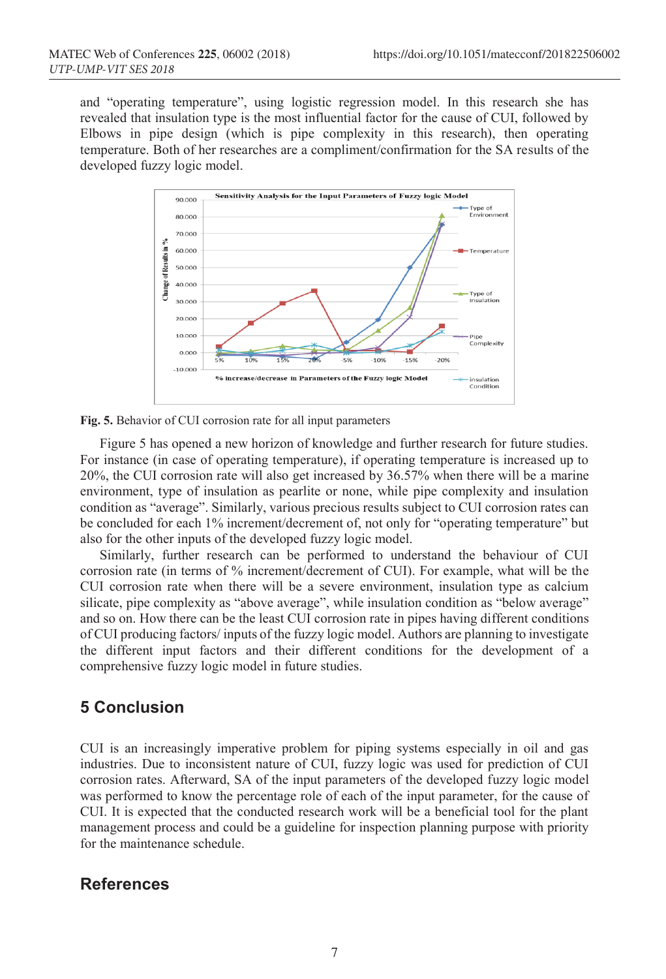and "operating temperature", using logistic regression model. In this research she has revealed that insulation type is the most influential factor for the cause of CUI, followed by Elbows in pipe design (which is pipe complexity in this research), then operating temperature. Both of her researches are a compliment/confirmation for the SA results of the developed fuzzy logic model.



**Fig. 5.** Behavior of CUI corrosion rate for all input parameters

Figure 5 has opened a new horizon of knowledge and further research for future studies. For instance (in case of operating temperature), if operating temperature is increased up to 20%, the CUI corrosion rate will also get increased by 36.57% when there will be a marine environment, type of insulation as pearlite or none, while pipe complexity and insulation condition as "average". Similarly, various precious results subject to CUI corrosion rates can be concluded for each 1% increment/decrement of, not only for "operating temperature" but also for the other inputs of the developed fuzzy logic model.

Similarly, further research can be performed to understand the behaviour of CUI corrosion rate (in terms of % increment/decrement of CUI). For example, what will be the CUI corrosion rate when there will be a severe environment, insulation type as calcium silicate, pipe complexity as "above average", while insulation condition as "below average" and so on. How there can be the least CUI corrosion rate in pipes having different conditions of CUI producing factors/ inputs of the fuzzy logic model. Authors are planning to investigate the different input factors and their different conditions for the development of a comprehensive fuzzy logic model in future studies.

### **5 Conclusion**

CUI is an increasingly imperative problem for piping systems especially in oil and gas industries. Due to inconsistent nature of CUI, fuzzy logic was used for prediction of CUI corrosion rates. Afterward, SA of the input parameters of the developed fuzzy logic model was performed to know the percentage role of each of the input parameter, for the cause of CUI. It is expected that the conducted research work will be a beneficial tool for the plant management process and could be a guideline for inspection planning purpose with priority for the maintenance schedule.

### **References**